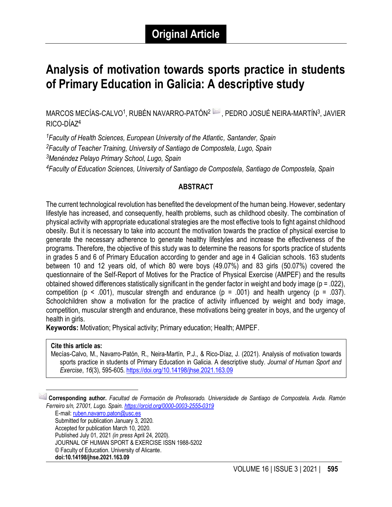# **Analysis of motivation towards sports practice in students of Primary Education in Galicia: A descriptive study**

MARCOS MECÍAS-CALVO<sup>1</sup>, RUBÉN NAVARRO-PATÓN<sup>2</sup> — , PEDRO JOSUÉ NEIRA-MARTÍN<sup>3</sup>, JAVIER RICO-DÍAZ<sup>4</sup>

*Faculty of Health Sciences, European University of the Atlantic, Santander, Spain Faculty of Teacher Training, University of Santiago de Compostela, Lugo, Spain Menéndez Pelayo Primary School, Lugo, Spain Faculty of Education Sciences, University of Santiago de Compostela, Santiago de Compostela, Spain*

# **ABSTRACT**

The current technological revolution has benefited the development of the human being. However, sedentary lifestyle has increased, and consequently, health problems, such as childhood obesity. The combination of physical activity with appropriate educational strategies are the most effective tools to fight against childhood obesity. But it is necessary to take into account the motivation towards the practice of physical exercise to generate the necessary adherence to generate healthy lifestyles and increase the effectiveness of the programs. Therefore, the objective of this study was to determine the reasons for sports practice of students in grades 5 and 6 of Primary Education according to gender and age in 4 Galician schools. 163 students between 10 and 12 years old, of which 80 were boys (49.07%) and 83 girls (50.07%) covered the questionnaire of the Self-Report of Motives for the Practice of Physical Exercise (AMPEF) and the results obtained showed differences statistically significant in the gender factor in weight and body image (p = .022), competition ( $p \le 0.001$ ), muscular strength and endurance ( $p = 0.001$ ) and health urgency ( $p = 0.037$ ). Schoolchildren show a motivation for the practice of activity influenced by weight and body image, competition, muscular strength and endurance, these motivations being greater in boys, and the urgency of health in girls.

**Keywords:** Motivation; Physical activity; Primary education; Health; AMPEF.

#### **Cite this article as:**

Mecías-Calvo, M., Navarro-Patón, R., Neira-Martín, P.J., & Rico-Díaz, J. (2021). Analysis of motivation towards sports practice in students of Primary Education in Galicia. A descriptive study. *Journal of Human Sport and Exercise*, *16*(3), 595-605[. https://doi.org/10.14198/jhse.2021.163.09](https://doi.org/10.14198/jhse.2021.163.09)

1 **Corresponding author.** *Facultad de Formación de Profesorado. Universidade de Santiago de Compostela. Avda. Ramón Ferreiro s/n, 27001, Lugo. Spain. <https://orcid.org/0000-0003-2555-0319>*

E-mail: [ruben.navarro.paton@usc.es](mailto:ruben.navarro.paton@usc.es) Submitted for publication January 3, 2020. Accepted for publication March 10, 2020. Published July 01, 2021 *(in press* April 24, 2020). JOURNAL OF HUMAN SPORT & EXERCISE ISSN 1988-5202 © Faculty of Education. University of Alicante. **doi:10.14198/jhse.2021.163.09**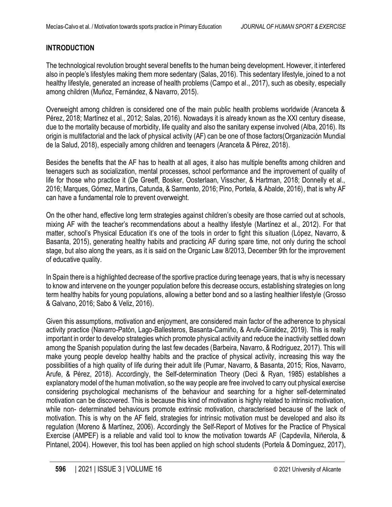# **INTRODUCTION**

The technological revolution brought several benefits to the human being development. However, it interfered also in people's lifestyles making them more sedentary (Salas, 2016). This sedentary lifestyle, joined to a not healthy lifestyle, generated an increase of health problems (Campo et al., 2017), such as obesity, especially among children (Muñoz, Fernández, & Navarro, 2015).

Overweight among children is considered one of the main public health problems worldwide (Aranceta & Pérez, 2018; Martínez et al., 2012; Salas, 2016). Nowadays it is already known as the XXI century disease, due to the mortality because of morbidity, life quality and also the sanitary expense involved (Alba, 2016). Its origin is multifactorial and the lack of physical activity (AF) can be one of those factors(Organización Mundial de la Salud, 2018), especially among children and teenagers (Aranceta & Pérez, 2018).

Besides the benefits that the AF has to health at all ages, it also has multiple benefits among children and teenagers such as socialization, mental processes, school performance and the improvement of quality of life for those who practice it (De Greeff, Bosker, Oosterlaan, Visscher, & Hartman, 2018; Donnelly et al., 2016; Marques, Gómez, Martins, Catunda, & Sarmento, 2016; Pino, Portela, & Abalde, 2016), that is why AF can have a fundamental role to prevent overweight.

On the other hand, effective long term strategies against children's obesity are those carried out at schools, mixing AF with the teacher's recommendations about a healthy lifestyle (Martínez et al., 2012). For that matter, school's Physical Education it's one of the tools in order to fight this situation (López, Navarro, & Basanta, 2015), generating healthy habits and practicing AF during spare time, not only during the school stage, but also along the years, as it is said on the Organic Law 8/2013, December 9th for the improvement of educative quality.

In Spain there is a highlighted decrease of the sportive practice during teenage years, that is why is necessary to know and intervene on the younger population before this decrease occurs, establishing strategies on long term healthy habits for young populations, allowing a better bond and so a lasting healthier lifestyle (Grosso & Galvano, 2016; Sabo & Veliz, 2016).

Given this assumptions, motivation and enjoyment, are considered main factor of the adherence to physical activity practice (Navarro-Patón, Lago-Ballesteros, Basanta-Camiño, & Arufe-Giraldez, 2019). This is really important in order to develop strategies which promote physical activity and reduce the inactivity settled down among the Spanish population during the last few decades (Barbeira, Navarro, & Rodriguez, 2017). This will make young people develop healthy habits and the practice of physical activity, increasing this way the possibilities of a high quality of life during their adult life (Pumar, Navarro, & Basanta, 2015; Rios, Navarro, Arufe, & Pérez, 2018). Accordingly, the Self-determination Theory (Deci & Ryan, 1985) establishes a explanatory model of the human motivation, so the way people are free involved to carry out physical exercise considering psychological mechanisms of the behaviour and searching for a higher self-determinated motivation can be discovered. This is because this kind of motivation is highly related to intrinsic motivation, while non- determinated behaviours promote extrinsic motivation, characterised because of the lack of motivation. This is why on the AF field, strategies for intrinsic motivation must be developed and also its regulation (Moreno & Martínez, 2006). Accordingly the Self-Report of Motives for the Practice of Physical Exercise (AMPEF) is a reliable and valid tool to know the motivation towards AF (Capdevila, Niñerola, & Pintanel, 2004). However, this tool has been applied on high school students (Portela & Domínguez, 2017),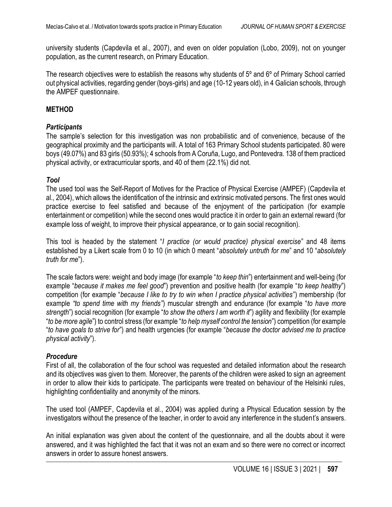university students (Capdevila et al., 2007), and even on older population (Lobo, 2009), not on younger population, as the current research, on Primary Education.

The research objectives were to establish the reasons why students of 5º and 6º of Primary School carried out physical activities, regarding gender (boys-girls) and age (10-12 years old), in 4 Galician schools, through the AMPEF questionnaire.

#### **METHOD**

#### *Participants*

The sample's selection for this investigation was non probabilistic and of convenience, because of the geographical proximity and the participants will. A total of 163 Primary School students participated. 80 were boys (49.07%) and 83 girls (50.93%); 4 schools from A Coruña, Lugo, and Pontevedra. 138 of them practiced physical activity, or extracurricular sports, and 40 of them (22.1%) did not.

## *Tool*

The used tool was the Self-Report of Motives for the Practice of Physical Exercise (AMPEF) (Capdevila et al., 2004), which allows the identification of the intrinsic and extrinsic motivated persons. The first ones would practice exercise to feel satisfied and because of the enjoyment of the participation (for example entertainment or competition) while the second ones would practice it in order to gain an external reward (for example loss of weight, to improve their physical appearance, or to gain social recognition).

This tool is headed by the statement "*I practice (or would practice) physical exercise*" and 48 items established by a Likert scale from 0 to 10 (in which 0 meant "*absolutely untruth for me*" and 10 "*absolutely truth for me*").

The scale factors were: weight and body image (for example "*to keep thin*") entertainment and well-being (for example "*because it makes me feel good*") prevention and positive health (for example "*to keep healthy*") competition (for example "*because I like to try to win when I practice physical activities*") membership (for example *"to spend time with my friends"*) muscular strength and endurance (for example "*to have more strength*") social recognition (for example "*to show the others I am worth it*") agility and flexibility (for example "*to be more agile*") to control stress (for example "*to help myself control the tension*") competition (for example "*to have goals to strive for*") and health urgencies (for example "*because the doctor advised me to practice physical activity*").

## *Procedure*

First of all, the collaboration of the four school was requested and detailed information about the research and its objectives was given to them. Moreover, the parents of the children were asked to sign an agreement in order to allow their kids to participate. The participants were treated on behaviour of the Helsinki rules, highlighting confidentiality and anonymity of the minors.

The used tool (AMPEF, Capdevila et al., 2004) was applied during a Physical Education session by the investigators without the presence of the teacher, in order to avoid any interference in the student's answers.

An initial explanation was given about the content of the questionnaire, and all the doubts about it were answered, and it was highlighted the fact that it was not an exam and so there were no correct or incorrect answers in order to assure honest answers.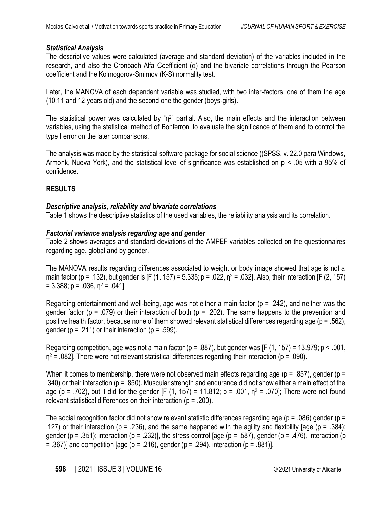# *Statistical Analysis*

The descriptive values were calculated (average and standard deviation) of the variables included in the research, and also the Cronbach Alfa Coefficient (α) and the bivariate correlations through the Pearson coefficient and the Kolmogorov-Smirnov (K-S) normality test.

Later, the MANOVA of each dependent variable was studied, with two inter-factors, one of them the age (10,11 and 12 years old) and the second one the gender (boys-girls).

The statistical power was calculated by "η<sup>2</sup>" partial. Also, the main effects and the interaction between variables, using the statistical method of Bonferroni to evaluate the significance of them and to control the type I error on the later comparisons.

The analysis was made by the statistical software package for social science ((SPSS, v. 22.0 para Windows, Armonk, Nueva York), and the statistical level of significance was established on p < .05 with a 95% of confidence.

# **RESULTS**

# *Descriptive analysis, reliability and bivariate correlations*

Table 1 shows the descriptive statistics of the used variables, the reliability analysis and its correlation.

# *Factorial variance analysis regarding age and gender*

Table 2 shows averages and standard deviations of the AMPEF variables collected on the questionnaires regarding age, global and by gender.

The MANOVA results regarding differences associated to weight or body image showed that age is not a main factor (p = .132), but gender is [F (1. 157) = 5.335; p = .022,  $n^2$  = .032]. Also, their interaction [F (2, 157)  $= 3.388$ ; p = .036, n<sup>2</sup> = .041].

Regarding entertainment and well-being, age was not either a main factor (p = .242), and neither was the gender factor (p = .079) or their interaction of both (p = .202). The same happens to the prevention and positive health factor, because none of them showed relevant statistical differences regarding age (p = .562), gender ( $p = .211$ ) or their interaction ( $p = .599$ ).

Regarding competition, age was not a main factor ( $p = .887$ ), but gender was [F (1, 157) = 13.979;  $p < .001$ ,  $η<sup>2</sup> = .082$ ]. There were not relevant statistical differences regarding their interaction (p = .090).

When it comes to membership, there were not observed main effects regarding age ( $p = 0.857$ ), gender ( $p = 0$ .340) or their interaction (p = .850). Muscular strength and endurance did not show either a main effect of the age (p = .702), but it did for the gender [F (1, 157) = 11.812; p = .001,  $n^2$  = .070]; There were not found relevant statistical differences on their interaction ( $p = 200$ ).

The social recognition factor did not show relevant statistic differences regarding age ( $p = .086$ ) gender ( $p =$ .127) or their interaction (p = .236), and the same happened with the agility and flexibility [age (p = .384); gender (p = .351); interaction (p = .232)], the stress control [age (p = .587), gender (p = .476), interaction (p  $=$  .367)] and competition [age (p = .216), gender (p = .294), interaction (p = .881)].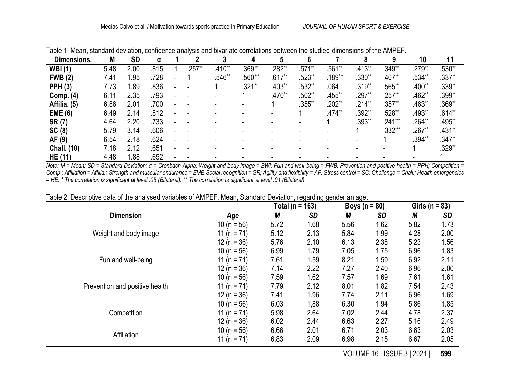| Dimensions.        | M    | <b>SD</b> | α    |       |          |          |          |          |           |          |           | 10       | 11       |
|--------------------|------|-----------|------|-------|----------|----------|----------|----------|-----------|----------|-----------|----------|----------|
| <b>WBI</b> (1)     | 5.48 | 2.00      | .815 | 257** | $.410**$ | .369**   | .282**   | $.571**$ | .561**    | .413**   | $.349**$  | .279**   | .530"    |
| <b>FWB (2)</b>     | 7.41 | .95       | .728 |       | .546**   | .560***  | $.617**$ | $.523**$ | $.189***$ | .330**   | $.407**$  | .534**   | .337**   |
| <b>PPH (3)</b>     | 7.73 | ∣.89      | .836 |       |          | $.321**$ | $.403**$ | $.532**$ | .064      | .319**   | 565**     | $.400**$ | .339**   |
| Comp. (4)          | 6.11 | 2.35      | .793 |       |          |          | $.470**$ | .502**   | .455**    | .297**   | $.257**$  | $.462**$ | .399**   |
| Affilia. (5)       | 6.86 | 2.01      | .700 |       |          |          |          | $.355**$ | $.202**$  | $.214**$ | $.357**$  | .463**   | $.369**$ |
| <b>EME (6)</b>     | 6.49 | 2.14      | .812 |       |          |          |          |          | $.474**$  | .392**   | .528**    | .493**   | $.614**$ |
| SR(7)              | 4.64 | 2.20      | .733 |       |          |          |          |          |           | .393**   | $.241***$ | .264**   | .495**   |
| SC(8)              | 5.79 | 3.14      | .606 |       |          |          |          |          |           |          | .332***   | .267**   | $.431**$ |
| AF (9)             | 6.54 | 2.18      | .624 |       |          |          |          |          |           |          |           | .394**   | $.347**$ |
| <b>Chall. (10)</b> | 7.18 | 2.12      | .651 |       |          |          |          |          |           |          |           |          | .329**   |
| HE (11)            | 4.48 | .88       | .652 |       |          |          |          |          |           |          |           |          |          |

Table 1. Mean, standard deviation, confidence analysis and bivariate correlations between the studied dimensions of the AMPEF.

*Note: M* = Mean; SD = Standard Deviation; α = Cronbach Alpha; Weight and body image = BWI; Fun and well-being = FWB; Prevention and positive health = PPH; Competition = Comp.; Affiliation = Affilia.; Strength and muscular endurance = EME Social recognition = SR; Agility and flexibility = AF; Stress control = SC; Challenge = Chall.; Health emergencies *= HE. \* The correlation is significant at level .05 (Bilateral). \*\* The correlation is significant at level .01 (Bilateral).*

|                                |                 | Total ( $n = 163$ ) |           | Boys ( $n = 80$ ) |           | Girls ( $n = 83$ ) |      |
|--------------------------------|-----------------|---------------------|-----------|-------------------|-----------|--------------------|------|
| <b>Dimension</b>               | Age             | М                   | <b>SD</b> | М                 | <b>SD</b> | М                  | SD   |
|                                | 10 ( $n = 56$ ) | 5.72                | 1.68      | 5.56              | 1.62      | 5.82               | 1.73 |
| Weight and body image          | 11 ( $n = 71$ ) | 5.12                | 2.13      | 5.84              | 1.99      | 4.28               | 2.00 |
|                                | $12(n = 36)$    | 5.76                | 2.10      | 6.13              | 2.38      | 5.23               | 1.56 |
|                                | 10 ( $n = 56$ ) | 6.99                | 1.79      | 7.05              | 1.75      | 6.96               | 1.83 |
| Fun and well-being             | 11 ( $n = 71$ ) | 7.61                | 1.59      | 8.21              | 1.59      | 6.92               | 2.11 |
|                                | $12(n = 36)$    | 7.14                | 2.22      | 7.27              | 2.40      | 6.96               | 2.00 |
|                                | 10 ( $n = 56$ ) | 7.59                | 1.62      | 7.57              | 1.69      | 7.61               | 1.61 |
| Prevention and positive health | 11 (n = $71$ )  | 7.79                | 2.12      | 8.01              | 1.82      | 7.54               | 2.43 |
|                                | $12(n = 36)$    | 7.41                | 1.96      | 7.74              | 2.11      | 6.96               | 1.69 |
|                                | 10 ( $n = 56$ ) | 6.03                | 1,88      | 6.30              | 1.94      | 5.86               | 1.85 |
| Competition                    | 11 ( $n = 71$ ) | 5.98                | 2.64      | 7.02              | 2.44      | 4.78               | 2.37 |
|                                | $12 (n = 36)$   | 6.02                | 2.44      | 6.63              | 2.27      | 5.16               | 2.49 |
| Affiliation                    | 10 ( $n = 56$ ) | 6.66                | 2.01      | 6.71              | 2.03      | 6.63               | 2.03 |
|                                | 11 ( $n = 71$ ) | 6.83                | 2.09      | 6.98              | 2.15      | 6.67               | 2.05 |

Table 2. Descriptive data of the analysed variables of AMPEF. Mean, Standard Deviation, regarding gender an age.

VOLUME 16 | ISSUE 3 | 2021 | **599**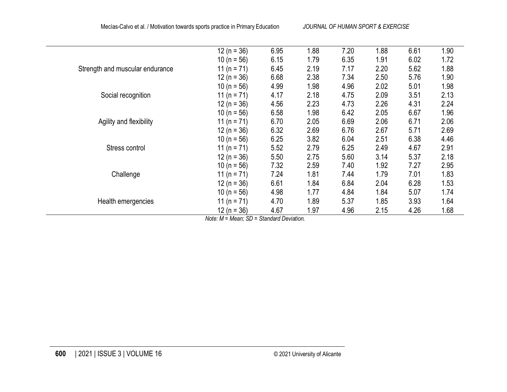|                                 | $12(n = 36)$       | 6.95                               | 1.88 | 7.20 | 1.88 | 6.61 | 1.90 |
|---------------------------------|--------------------|------------------------------------|------|------|------|------|------|
|                                 | $10(n = 56)$       | 6.15                               | 1.79 | 6.35 | 1.91 | 6.02 | 1.72 |
| Strength and muscular endurance | 11 (n = $71$ )     | 6.45                               | 2.19 | 7.17 | 2.20 | 5.62 | 1.88 |
|                                 | $12 (n = 36)$      | 6.68                               | 2.38 | 7.34 | 2.50 | 5.76 | 1.90 |
|                                 | 10 ( $n = 56$ )    | 4.99                               | 1.98 | 4.96 | 2.02 | 5.01 | 1.98 |
| Social recognition              | 11 (n = $71$ )     | 4.17                               | 2.18 | 4.75 | 2.09 | 3.51 | 2.13 |
|                                 | $12(n = 36)$       | 4.56                               | 2.23 | 4.73 | 2.26 | 4.31 | 2.24 |
|                                 | $10(n = 56)$       | 6.58                               | 1.98 | 6.42 | 2.05 | 6.67 | 1.96 |
| Agility and flexibility         | 11 (n = $71$ )     | 6.70                               | 2.05 | 6.69 | 2.06 | 6.71 | 2.06 |
|                                 | $12 (n = 36)$      | 6.32                               | 2.69 | 6.76 | 2.67 | 5.71 | 2.69 |
|                                 | 10 ( $n = 56$ )    | 6.25                               | 3.82 | 6.04 | 2.51 | 6.38 | 4.46 |
| Stress control                  | 11 (n = $71$ )     | 5.52                               | 2.79 | 6.25 | 2.49 | 4.67 | 2.91 |
|                                 | $12(n = 36)$       | 5.50                               | 2.75 | 5.60 | 3.14 | 5.37 | 2.18 |
|                                 | 10 ( $n = 56$ )    | 7.32                               | 2.59 | 7.40 | 1.92 | 7.27 | 2.95 |
| Challenge                       | 11 (n = $71$ )     | 7.24                               | 1.81 | 7.44 | 1.79 | 7.01 | 1.83 |
|                                 | $12(n = 36)$       | 6.61                               | 1.84 | 6.84 | 2.04 | 6.28 | 1.53 |
|                                 | 10 ( $n = 56$ )    | 4.98                               | 1.77 | 4.84 | 1.84 | 5.07 | 1.74 |
| Health emergencies              | 11 ( $n = 71$ )    | 4.70                               | 1.89 | 5.37 | 1.85 | 3.93 | 1.64 |
|                                 | $12(n = 36)$       | 4.67                               | 1.97 | 4.96 | 2.15 | 4.26 | 1.68 |
|                                 | $\cdots$<br>$\sim$ | $\sim$<br>$\overline{\phantom{a}}$ |      |      |      |      |      |

*Note: M = Mean; SD = Standard Deviation.*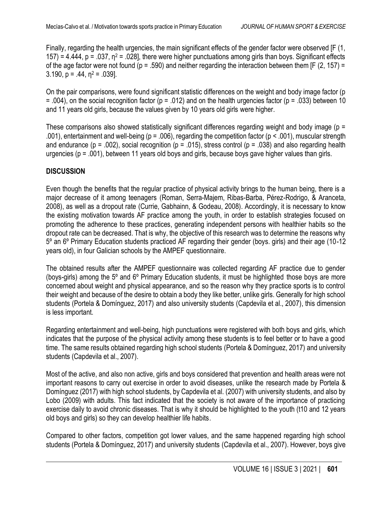Finally, regarding the health urgencies, the main significant effects of the gender factor were observed [F (1, 157) = 4.444,  $p = 0.037$ ,  $n^2 = 0.028$ , there were higher punctuations among girls than boys. Significant effects of the age factor were not found ( $p = .590$ ) and neither regarding the interaction between them [F (2, 157) = 3.190,  $p = .44$ ,  $n^2 = .039$ ].

On the pair comparisons, were found significant statistic differences on the weight and body image factor (p  $= .004$ ), on the social recognition factor (p = .012) and on the health urgencies factor (p = .033) between 10 and 11 years old girls, because the values given by 10 years old girls were higher.

These comparisons also showed statistically significant differences regarding weight and body image ( $p =$ .001), entertainment and well-being (p = .006), regarding the competition factor (p < .001), muscular strength and endurance (p = .002), social recognition (p = .015), stress control (p = .038) and also regarding health urgencies (p = .001), between 11 years old boys and girls, because boys gave higher values than girls.

# **DISCUSSION**

Even though the benefits that the regular practice of physical activity brings to the human being, there is a major decrease of it among teenagers (Roman, Serra-Majem, Ribas-Barba, Pérez-Rodrigo, & Aranceta, 2008), as well as a dropout rate (Currie, Gabhainn, & Godeau, 2008). Accordingly, it is necessary to know the existing motivation towards AF practice among the youth, in order to establish strategies focused on promoting the adherence to these practices, generating independent persons with healthier habits so the dropout rate can be decreased. That is why, the objective of this research was to determine the reasons why 5º an 6º Primary Education students practiced AF regarding their gender (boys. girls) and their age (10-12 years old), in four Galician schools by the AMPEF questionnaire.

The obtained results after the AMPEF questionnaire was collected regarding AF practice due to gender (boys-girls) among the 5º and 6º Primary Education students, it must be highlighted those boys are more concerned about weight and physical appearance, and so the reason why they practice sports is to control their weight and because of the desire to obtain a body they like better, unlike girls. Generally for high school students (Portela & Domínguez, 2017) and also university students (Capdevila et al., 2007), this dimension is less important.

Regarding entertainment and well-being, high punctuations were registered with both boys and girls, which indicates that the purpose of the physical activity among these students is to feel better or to have a good time. The same results obtained regarding high school students (Portela & Domínguez, 2017) and university students (Capdevila et al., 2007).

Most of the active, and also non active, girls and boys considered that prevention and health areas were not important reasons to carry out exercise in order to avoid diseases, unlike the research made by Portela & Domínguez (2017) with high school students, by Capdevila et al. (2007) with university students, and also by Lobo (2009) with adults. This fact indicated that the society is not aware of the importance of practicing exercise daily to avoid chronic diseases. That is why it should be highlighted to the youth (t10 and 12 years old boys and girls) so they can develop healthier life habits.

Compared to other factors, competition got lower values, and the same happened regarding high school students (Portela & Domínguez, 2017) and university students (Capdevila et al., 2007). However, boys give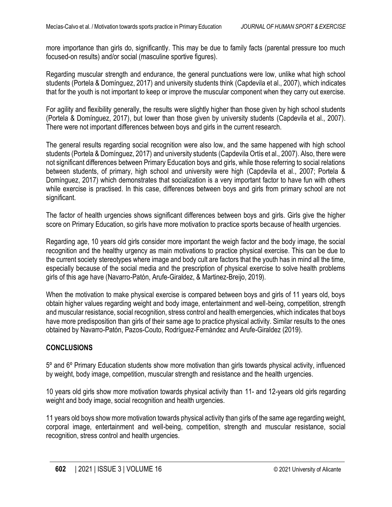more importance than girls do, significantly. This may be due to family facts (parental pressure too much focused-on results) and/or social (masculine sportive figures).

Regarding muscular strength and endurance, the general punctuations were low, unlike what high school students (Portela & Domínguez, 2017) and university students think (Capdevila et al., 2007), which indicates that for the youth is not important to keep or improve the muscular component when they carry out exercise.

For agility and flexibility generally, the results were slightly higher than those given by high school students (Portela & Domínguez, 2017), but lower than those given by university students (Capdevila et al., 2007). There were not important differences between boys and girls in the current research.

The general results regarding social recognition were also low, and the same happened with high school students (Portela & Domínguez, 2017) and university students (Capdevila Ortís et al., 2007). Also, there were not significant differences between Primary Education boys and girls, while those referring to social relations between students, of primary, high school and university were high (Capdevila et al., 2007; Portela & Domínguez, 2017) which demonstrates that socialization is a very important factor to have fun with others while exercise is practised. In this case, differences between boys and girls from primary school are not significant.

The factor of health urgencies shows significant differences between boys and girls. Girls give the higher score on Primary Education, so girls have more motivation to practice sports because of health urgencies.

Regarding age, 10 years old girls consider more important the weigh factor and the body image, the social recognition and the healthy urgency as main motivations to practice physical exercise. This can be due to the current society stereotypes where image and body cult are factors that the youth has in mind all the time, especially because of the social media and the prescription of physical exercise to solve health problems girls of this age have (Navarro-Patón, Arufe-Giraldez, & Martinez-Breijo, 2019).

When the motivation to make physical exercise is compared between boys and girls of 11 years old, boys obtain higher values regarding weight and body image, entertainment and well-being, competition, strength and muscular resistance, social recognition, stress control and health emergencies, which indicates that boys have more predisposition than girls of their same age to practice physical activity. Similar results to the ones obtained by Navarro-Patón, Pazos-Couto, Rodríguez-Fernández and Arufe-Giraldez (2019).

# **CONCLUSIONS**

5º and 6º Primary Education students show more motivation than girls towards physical activity, influenced by weight, body image, competition, muscular strength and resistance and the health urgencies.

10 years old girls show more motivation towards physical activity than 11- and 12-years old girls regarding weight and body image, social recognition and health urgencies.

11 years old boys show more motivation towards physical activity than girls of the same age regarding weight, corporal image, entertainment and well-being, competition, strength and muscular resistance, social recognition, stress control and health urgencies.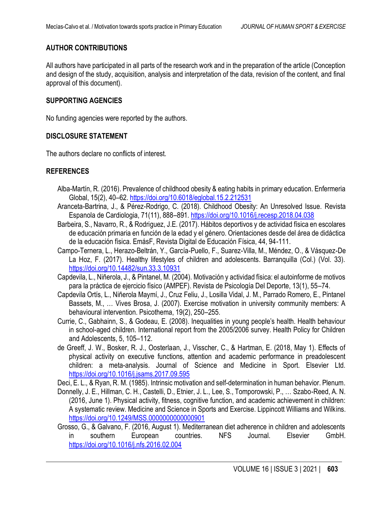# **AUTHOR CONTRIBUTIONS**

All authors have participated in all parts of the research work and in the preparation of the article (Conception and design of the study, acquisition, analysis and interpretation of the data, revision of the content, and final approval of this document).

## **SUPPORTING AGENCIES**

No funding agencies were reported by the authors.

## **DISCLOSURE STATEMENT**

The authors declare no conflicts of interest.

## **REFERENCES**

- Alba-Martín, R. (2016). Prevalence of childhood obesity & eating habits in primary education. Enfermeria Global, 15(2), 40–62.<https://doi.org/10.6018/eglobal.15.2.212531>
- Aranceta-Bartrina, J., & Pérez-Rodrigo, C. (2018). Childhood Obesity: An Unresolved Issue. Revista Espanola de Cardiologia, 71(11), 888–891.<https://doi.org/10.1016/j.recesp.2018.04.038>
- Barbeira, S., Navarro, R., & Rodriguez, J.E. (2017). Hábitos deportivos y de actividad física en escolares de educación primaria en función de la edad y el género. Orientaciones desde del área de didáctica de la educación física. EmásF, Revista Digital de Educación Física, 44, 94-111.
- Campo-Ternera, L., Herazo-Beltrán, Y., García-Puello, F., Suarez-Villa, M., Méndez, O., & Vásquez-De La Hoz, F. (2017). Healthy lifestyles of children and adolescents. Barranquilla (Col.) (Vol. 33). <https://doi.org/10.14482/sun.33.3.10931>
- Capdevila, L., Niñerola, J., & Pintanel, M. (2004). Motivación y actividad física: el autoinforme de motivos para la práctica de ejercicio físico (AMPEF). Revista de Psicología Del Deporte, 13(1), 55–74.
- Capdevila Ortís, L., Niñerola Maymí, J., Cruz Feliu, J., Losilla Vidal, J. M., Parrado Romero, E., Pintanel Bassets, M., … Vives Brosa, J. (2007). Exercise motivation in university community members: A behavioural intervention. Psicothema, 19(2), 250–255.
- Currie, C., Gabhainn, S., & Godeau, E. (2008). Inequalities in young people's health. Health behaviour in school-aged children. International report from the 2005/2006 survey. Health Policy for Children and Adolescents, 5, 105–112.
- de Greeff, J. W., Bosker, R. J., Oosterlaan, J., Visscher, C., & Hartman, E. (2018, May 1). Effects of physical activity on executive functions, attention and academic performance in preadolescent children: a meta-analysis. Journal of Science and Medicine in Sport. Elsevier Ltd. <https://doi.org/10.1016/j.jsams.2017.09.595>

Deci, E. L., & Ryan, R. M. (1985). Intrinsic motivation and self-determination in human behavior. Plenum.

- Donnelly, J. E., Hillman, C. H., Castelli, D., Etnier, J. L., Lee, S., Tomporowski, P., … Szabo-Reed, A. N. (2016, June 1). Physical activity, fitness, cognitive function, and academic achievement in children: A systematic review. Medicine and Science in Sports and Exercise. Lippincott Williams and Wilkins. <https://doi.org/10.1249/MSS.0000000000000901>
- Grosso, G., & Galvano, F. (2016, August 1). Mediterranean diet adherence in children and adolescents in southern European countries. NFS Journal. Elsevier GmbH. <https://doi.org/10.1016/j.nfs.2016.02.004>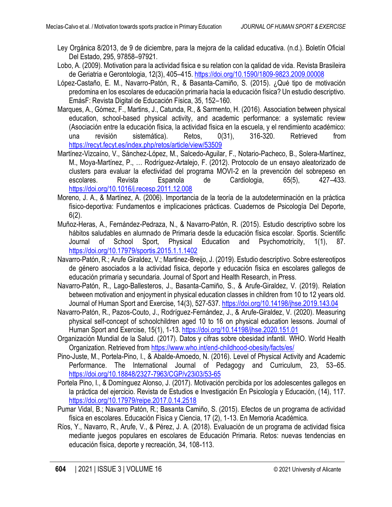- Ley Orgánica 8/2013, de 9 de diciembre, para la mejora de la calidad educativa. (n.d.). Boletín Oficial Del Estado, 295, 97858–97921.
- Lobo, A. (2009). Motivation para la actividad fisica e su relation con la qalidad de vida. Revista Brasileira de Geriatria e Gerontologia, 12(3), 405–415.<https://doi.org/10.1590/1809-9823.2009.00008>
- López-Castaño, E. M., Navarro-Patón, R., & Basanta-Camiño, S. (2015). ¿Qué tipo de motivación predomina en los escolares de educación primaria hacia la educación física? Un estudio descriptivo. EmásF: Revista Digital de Educación Física, 35, 152–160.
- Marques, A., Gómez, F., Martins, J., Catunda, R., & Sarmento, H. (2016). Association between physical education, school-based physical activity, and academic performance: a systematic review (Asociación entre la educación física, la actividad física en la escuela, y el rendimiento académico: una revisión sistemática). Retos, 0(31), 316-320. Retrieved from <https://recyt.fecyt.es/index.php/retos/article/view/53509>
- Martínez-Vizcaíno, V., Sánchez-López, M., Salcedo-Aguilar, F., Notario-Pacheco, B., Solera-Martínez, M., Moya-Martínez, P., … Rodríguez-Artalejo, F. (2012). Protocolo de un ensayo aleatorizado de clusters para evaluar la efectividad del programa MOVI-2 en la prevención del sobrepeso en escolares. Revista Espanola de Cardiologia, 65(5), 427–433. <https://doi.org/10.1016/j.recesp.2011.12.008>
- Moreno, J. A., & Martínez, A. (2006). Importancia de la teoría de la autodeterminación en la práctica físico-deportiva: Fundamentos e implicaciones prácticas. Cuadernos de Psicología Del Deporte, 6(2).
- Muñoz-Heras, A., Fernández-Pedraza, N., & Navarro-Patón, R. (2015). Estudio descriptivo sobre los hábitos saludables en alumnado de Primaria desde la educación física escolar. Sportis. Scientific Journal of School Sport, Physical Education and Psychomotricity, 1(1), 87. <https://doi.org/10.17979/sportis.2015.1.1.1402>
- Navarro-Patón, R.; Arufe Giraldez, V.; Martinez-Breijo, J. (2019). Estudio descriptivo. Sobre estereotipos de género asociados a la actividad física, deporte y educación física en escolares gallegos de educación primaria y secundaria. Journal of Sport and Health Research, in Press.
- Navarro-Patón, R., Lago-Ballesteros, J., Basanta-Camiño, S., & Arufe-Giraldez, V. (2019). Relation between motivation and enjoyment in physical education classes in children from 10 to 12 years old. Journal of Human Sport and Exercise, 14(3), 527-537[. https://doi.org/10.14198/jhse.2019.143.04](https://doi.org/10.14198/jhse.2019.143.04)
- Navarro-Patón, R., Pazos-Couto, J., Rodríguez-Fernández, J., & Arufe-Giraldez, V. (2020). Measuring physical self-concept of schoolchildren aged 10 to 16 on physical education lessons. Journal of Human Sport and Exercise, 15(1), 1-13.<https://doi.org/10.14198/jhse.2020.151.01>
- Organización Mundial de la Salud. (2017). Datos y cifras sobre obesidad infantil. WHO. World Health Organization. Retrieved from<https://www.who.int/end-childhood-obesity/facts/es/>
- Pino-Juste, M., Portela-Pino, I., & Abalde-Amoedo, N. (2016). Level of Physical Activity and Academic Performance. The International Journal of Pedagogy and Curriculum, 23, 53–65. <https://doi.org/10.18848/2327-7963/CGP/v23i03/53-65>
- Portela Pino, I., & Domínguez Alonso, J. (2017). Motivación percibida por los adolescentes gallegos en la práctica del ejercicio. Revista de Estudios e Investigación En Psicología y Educación, (14), 117. <https://doi.org/10.17979/reipe.2017.0.14.2518>
- Pumar Vidal, B.; Navarro Patón, R.; Basanta Camiño, S. (2015). Efectos de un programa de actividad física en escolares. Educación Física y Ciencia, 17 (2), 1-13. En Memoria Académica.
- Ríos, Y., Navarro, R., Arufe, V., & Pérez, J. A. (2018). Evaluación de un programa de actividad física mediante juegos populares en escolares de Educación Primaria. Retos: nuevas tendencias en educación física, deporte y recreación, 34, 108-113.